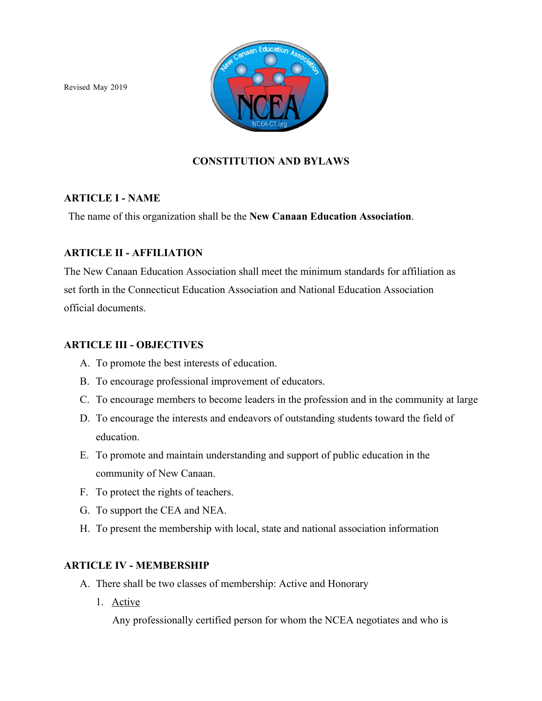Revised May 2019



# **CONSTITUTION AND BYLAWS**

## **ARTICLE I - NAME**

The name of this organization shall be the **New Canaan Education Association**.

## **ARTICLE II - AFFILIATION**

The New Canaan Education Association shall meet the minimum standards for affiliation as set forth in the Connecticut Education Association and National Education Association official documents.

### **ARTICLE III - OBJECTIVES**

- A. To promote the best interests of education.
- B. To encourage professional improvement of educators.
- C. To encourage members to become leaders in the profession and in the community at large
- D. To encourage the interests and endeavors of outstanding students toward the field of education.
- E. To promote and maintain understanding and support of public education in the community of New Canaan.
- F. To protect the rights of teachers.
- G. To support the CEA and NEA.
- H. To present the membership with local, state and national association information

## **ARTICLE IV - MEMBERSHIP**

- A. There shall be two classes of membership: Active and Honorary
	- 1. Active

Any professionally certified person for whom the NCEA negotiates and who is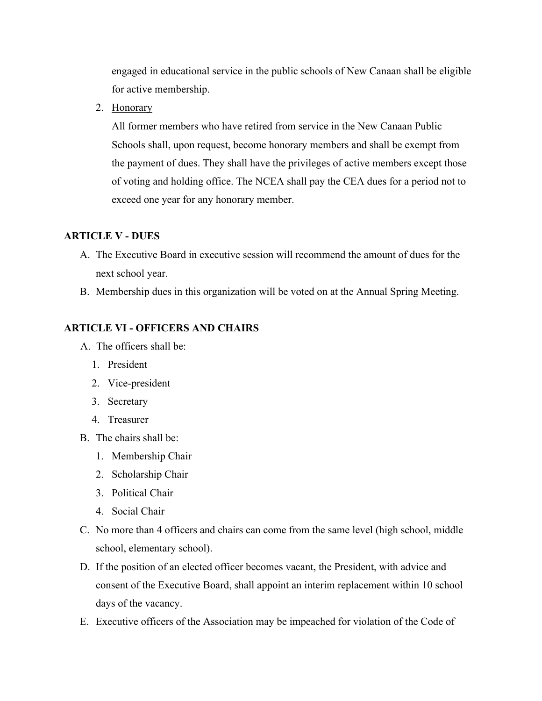engaged in educational service in the public schools of New Canaan shall be eligible for active membership.

2. Honorary

All former members who have retired from service in the New Canaan Public Schools shall, upon request, become honorary members and shall be exempt from the payment of dues. They shall have the privileges of active members except those of voting and holding office. The NCEA shall pay the CEA dues for a period not to exceed one year for any honorary member.

### **ARTICLE V - DUES**

- A. The Executive Board in executive session will recommend the amount of dues for the next school year.
- B. Membership dues in this organization will be voted on at the Annual Spring Meeting.

### **ARTICLE VI - OFFICERS AND CHAIRS**

- A. The officers shall be:
	- 1. President
	- 2. Vice-president
	- 3. Secretary
	- 4. Treasurer
- B. The chairs shall be:
	- 1. Membership Chair
	- 2. Scholarship Chair
	- 3. Political Chair
	- 4. Social Chair
- C. No more than 4 officers and chairs can come from the same level (high school, middle school, elementary school).
- D. If the position of an elected officer becomes vacant, the President, with advice and consent of the Executive Board, shall appoint an interim replacement within 10 school days of the vacancy.
- E. Executive officers of the Association may be impeached for violation of the Code of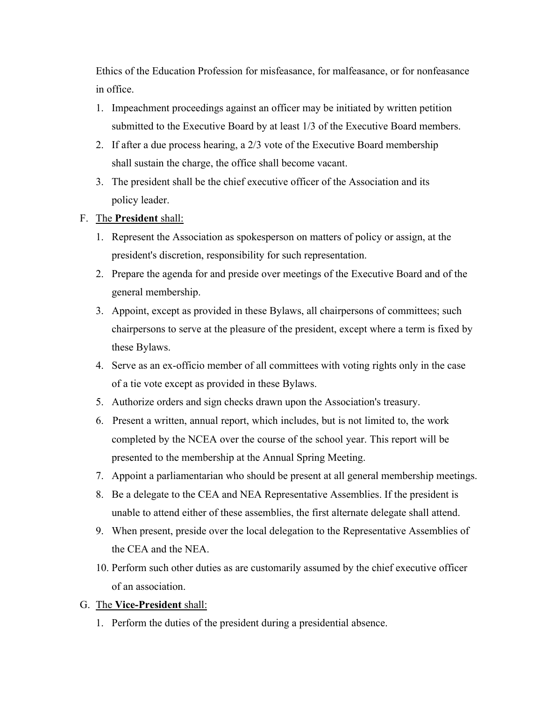Ethics of the Education Profession for misfeasance, for malfeasance, or for nonfeasance in office.

- 1. Impeachment proceedings against an officer may be initiated by written petition submitted to the Executive Board by at least 1/3 of the Executive Board members.
- 2. If after a due process hearing, a 2/3 vote of the Executive Board membership shall sustain the charge, the office shall become vacant.
- 3. The president shall be the chief executive officer of the Association and its policy leader.

### F. The **President** shall:

- 1. Represent the Association as spokesperson on matters of policy or assign, at the president's discretion, responsibility for such representation.
- 2. Prepare the agenda for and preside over meetings of the Executive Board and of the general membership.
- 3. Appoint, except as provided in these Bylaws, all chairpersons of committees; such chairpersons to serve at the pleasure of the president, except where a term is fixed by these Bylaws.
- 4. Serve as an ex-officio member of all committees with voting rights only in the case of a tie vote except as provided in these Bylaws.
- 5. Authorize orders and sign checks drawn upon the Association's treasury.
- 6. Present a written, annual report, which includes, but is not limited to, the work completed by the NCEA over the course of the school year. This report will be presented to the membership at the Annual Spring Meeting.
- 7. Appoint a parliamentarian who should be present at all general membership meetings.
- 8. Be a delegate to the CEA and NEA Representative Assemblies. If the president is unable to attend either of these assemblies, the first alternate delegate shall attend.
- 9. When present, preside over the local delegation to the Representative Assemblies of the CEA and the NEA.
- 10. Perform such other duties as are customarily assumed by the chief executive officer of an association.

#### G. The **Vice-President** shall:

1. Perform the duties of the president during a presidential absence.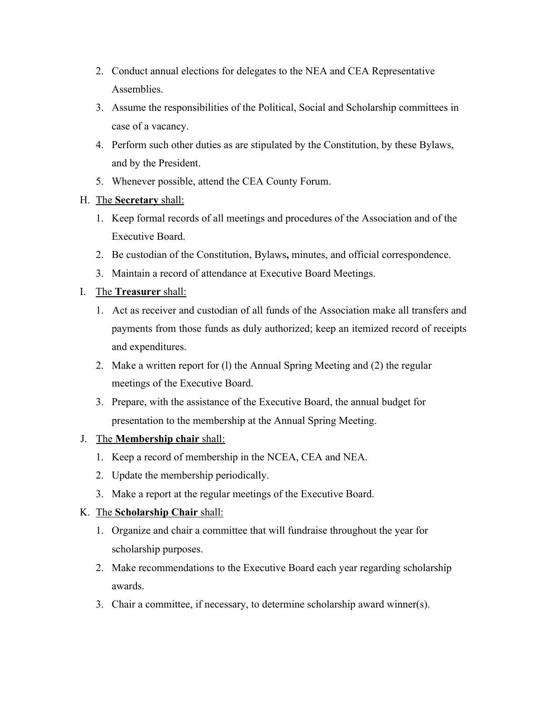- 2. Conduct annual elections for delegates to the NEA and CEA Representative Assemblies.
- 3. Assume the responsibilities of the Political, Social and Scholarship committees in case of a vacancy.
- 4. Perform such other duties as are stipulated by the Constitution, by these Bylaws, and by the President.
- 5. Whenever possible, attend the CEA County Forum.
- H. The **Secretary** shall:
	- 1. Keep formal records of all meetings and procedures of the Association and of the Executive Board.
	- 2. Be custodian of the Constitution, Bylaws**,** minutes, and official correspondence.
	- 3. Maintain a record of attendance at Executive Board Meetings.
- I. The **Treasurer** shall:
	- 1. Act as receiver and custodian of all funds of the Association make all transfers and payments from those funds as duly authorized; keep an itemized record of receipts and expenditures.
	- 2. Make a written report for (l) the Annual Spring Meeting and (2) the regular meetings of the Executive Board.
	- 3. Prepare, with the assistance of the Executive Board, the annual budget for presentation to the membership at the Annual Spring Meeting.

## J. The **Membership chair** shall:

- 1. Keep a record of membership in the NCEA, CEA and NEA.
- 2. Update the membership periodically.
- 3. Make a report at the regular meetings of the Executive Board.

## K. The **Scholarship Chair** shall:

- 1. Organize and chair a committee that will fundraise throughout the year for scholarship purposes.
- 2. Make recommendations to the Executive Board each year regarding scholarship awards.
- 3. Chair a committee, if necessary, to determine scholarship award winner(s).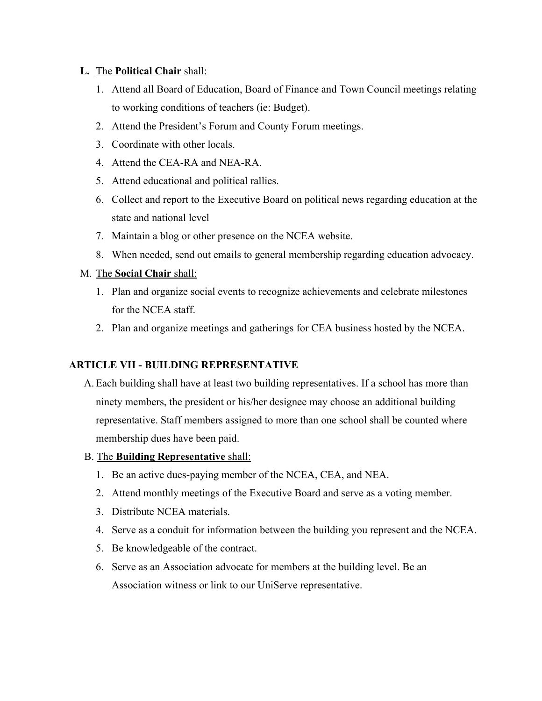## **L.** The **Political Chair** shall:

- 1. Attend all Board of Education, Board of Finance and Town Council meetings relating to working conditions of teachers (ie: Budget).
- 2. Attend the President's Forum and County Forum meetings.
- 3. Coordinate with other locals.
- 4. Attend the CEA-RA and NEA-RA.
- 5. Attend educational and political rallies.
- 6. Collect and report to the Executive Board on political news regarding education at the state and national level
- 7. Maintain a blog or other presence on the NCEA website.
- 8. When needed, send out emails to general membership regarding education advocacy.

## M. The **Social Chair** shall:

- 1. Plan and organize social events to recognize achievements and celebrate milestones for the NCEA staff.
- 2. Plan and organize meetings and gatherings for CEA business hosted by the NCEA.

# **ARTICLE VII - BUILDING REPRESENTATIVE**

A. Each building shall have at least two building representatives. If a school has more than ninety members, the president or his/her designee may choose an additional building representative. Staff members assigned to more than one school shall be counted where membership dues have been paid.

# B. The **Building Representative** shall:

- 1. Be an active dues-paying member of the NCEA, CEA, and NEA.
- 2. Attend monthly meetings of the Executive Board and serve as a voting member.
- 3. Distribute NCEA materials.
- 4. Serve as a conduit for information between the building you represent and the NCEA.
- 5. Be knowledgeable of the contract.
- 6. Serve as an Association advocate for members at the building level. Be an Association witness or link to our UniServe representative.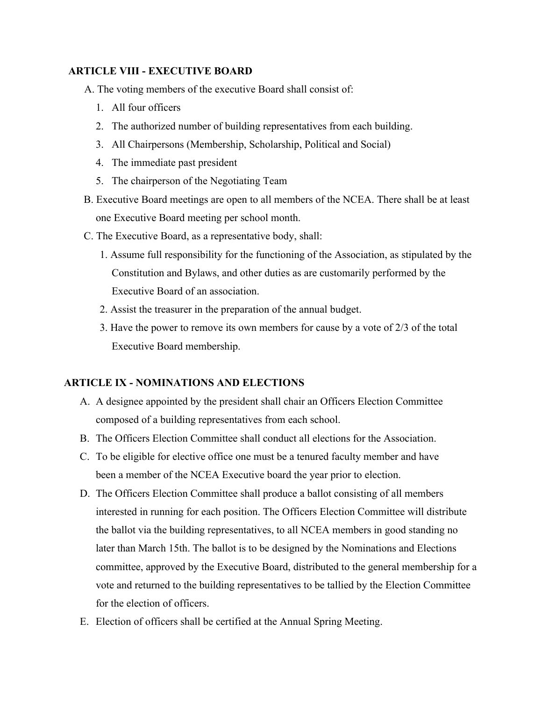### **ARTICLE VIII - EXECUTIVE BOARD**

A. The voting members of the executive Board shall consist of:

- 1. All four officers
- 2. The authorized number of building representatives from each building.
- 3. All Chairpersons (Membership, Scholarship, Political and Social)
- 4. The immediate past president
- 5. The chairperson of the Negotiating Team
- B. Executive Board meetings are open to all members of the NCEA. There shall be at least one Executive Board meeting per school month.
- C. The Executive Board, as a representative body, shall:
	- 1. Assume full responsibility for the functioning of the Association, as stipulated by the Constitution and Bylaws, and other duties as are customarily performed by the Executive Board of an association.
	- 2. Assist the treasurer in the preparation of the annual budget.
	- 3. Have the power to remove its own members for cause by a vote of 2/3 of the total Executive Board membership.

## **ARTICLE IX - NOMINATIONS AND ELECTIONS**

- A. A designee appointed by the president shall chair an Officers Election Committee composed of a building representatives from each school.
- B. The Officers Election Committee shall conduct all elections for the Association.
- C. To be eligible for elective office one must be a tenured faculty member and have been a member of the NCEA Executive board the year prior to election.
- D. The Officers Election Committee shall produce a ballot consisting of all members interested in running for each position. The Officers Election Committee will distribute the ballot via the building representatives, to all NCEA members in good standing no later than March 15th. The ballot is to be designed by the Nominations and Elections committee, approved by the Executive Board, distributed to the general membership for a vote and returned to the building representatives to be tallied by the Election Committee for the election of officers.
- E. Election of officers shall be certified at the Annual Spring Meeting.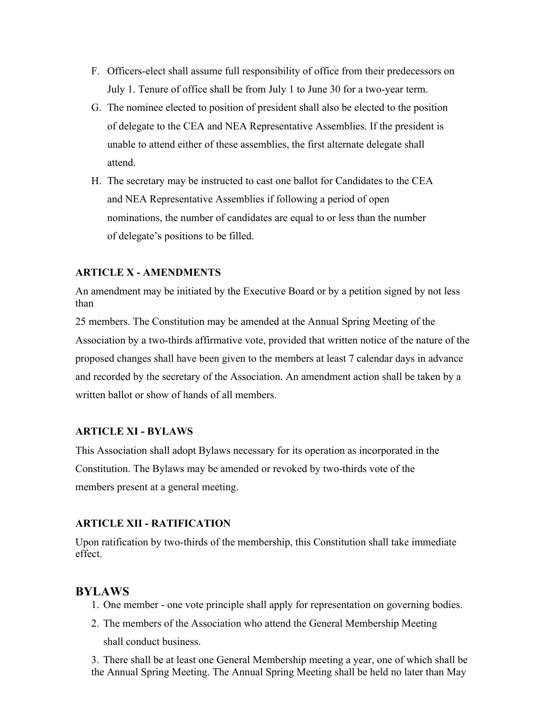- F. Officers-elect shall assume full responsibility of office from their predecessors on July 1. Tenure of office shall be from July 1 to June 30 for a two-year term.
- G. The nominee elected to position of president shall also be elected to the position of delegate to the CEA and NEA Representative Assemblies. If the president is unable to attend either of these assemblies, the first alternate delegate shall attend.
- H. The secretary may be instructed to cast one ballot for Candidates to the CEA and NEA Representative Assemblies if following a period of open nominations, the number of candidates are equal to or less than the number of delegate's positions to be filled.

### **ARTICLE X - AMENDMENTS**

An amendment may be initiated by the Executive Board or by a petition signed by not less than

25 members. The Constitution may be amended at the Annual Spring Meeting of the Association by a two-thirds affirmative vote, provided that written notice of the nature of the proposed changes shall have been given to the members at least 7 calendar days in advance and recorded by the secretary of the Association. An amendment action shall be taken by a written ballot or show of hands of all members.

### **ARTICLE XI - BYLAWS**

This Association shall adopt Bylaws necessary for its operation as incorporated in the Constitution. The Bylaws may be amended or revoked by two-thirds vote of the members present at a general meeting.

#### **ARTICLE XII - RATIFICATION**

Upon ratification by two-thirds of the membership, this Constitution shall take immediate effect.

### **BYLAWS**

- 1. One member one vote principle shall apply for representation on governing bodies.
- 2. The members of the Association who attend the General Membership Meeting shall conduct business.

3. There shall be at least one General Membership meeting a year, one of which shall be the Annual Spring Meeting. The Annual Spring Meeting shall be held no later than May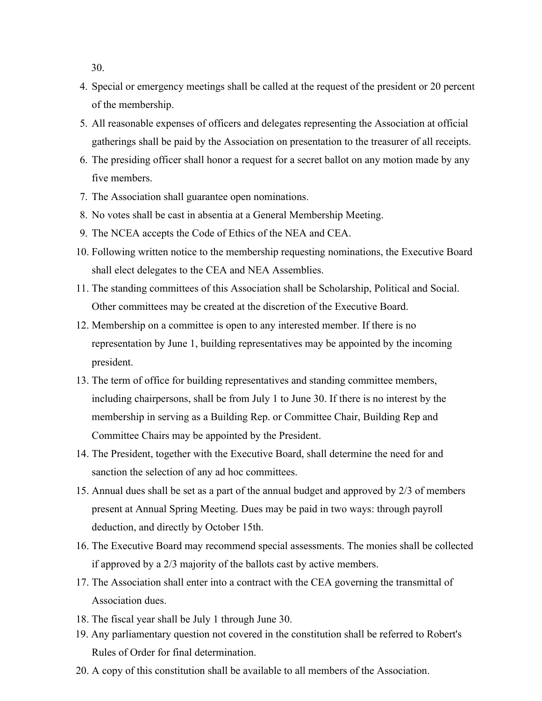30.

- 4. Special or emergency meetings shall be called at the request of the president or 20 percent of the membership.
- 5. All reasonable expenses of officers and delegates representing the Association at official gatherings shall be paid by the Association on presentation to the treasurer of all receipts.
- 6. The presiding officer shall honor a request for a secret ballot on any motion made by any five members.
- 7. The Association shall guarantee open nominations.
- 8. No votes shall be cast in absentia at a General Membership Meeting.
- 9. The NCEA accepts the Code of Ethics of the NEA and CEA.
- 10. Following written notice to the membership requesting nominations, the Executive Board shall elect delegates to the CEA and NEA Assemblies.
- 11. The standing committees of this Association shall be Scholarship, Political and Social. Other committees may be created at the discretion of the Executive Board.
- 12. Membership on a committee is open to any interested member. If there is no representation by June 1, building representatives may be appointed by the incoming president.
- 13. The term of office for building representatives and standing committee members, including chairpersons, shall be from July 1 to June 30. If there is no interest by the membership in serving as a Building Rep. or Committee Chair, Building Rep and Committee Chairs may be appointed by the President.
- 14. The President, together with the Executive Board, shall determine the need for and sanction the selection of any ad hoc committees.
- 15. Annual dues shall be set as a part of the annual budget and approved by 2/3 of members present at Annual Spring Meeting. Dues may be paid in two ways: through payroll deduction, and directly by October 15th.
- 16. The Executive Board may recommend special assessments. The monies shall be collected if approved by a 2/3 majority of the ballots cast by active members.
- 17. The Association shall enter into a contract with the CEA governing the transmittal of Association dues.
- 18. The fiscal year shall be July 1 through June 30.
- 19. Any parliamentary question not covered in the constitution shall be referred to Robert's Rules of Order for final determination.
- 20. A copy of this constitution shall be available to all members of the Association.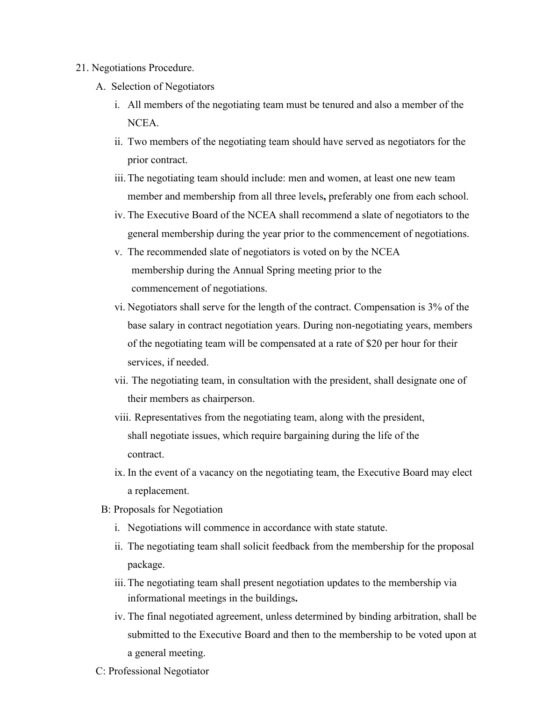- 21. Negotiations Procedure.
	- A. Selection of Negotiators
		- i. All members of the negotiating team must be tenured and also a member of the NCEA.
		- ii. Two members of the negotiating team should have served as negotiators for the prior contract.
		- iii.The negotiating team should include: men and women, at least one new team member and membership from all three levels**,** preferably one from each school.
		- iv. The Executive Board of the NCEA shall recommend a slate of negotiators to the general membership during the year prior to the commencement of negotiations.
		- v. The recommended slate of negotiators is voted on by the NCEA membership during the Annual Spring meeting prior to the commencement of negotiations.
		- vi. Negotiators shall serve for the length of the contract. Compensation is 3% of the base salary in contract negotiation years. During non-negotiating years, members of the negotiating team will be compensated at a rate of \$20 per hour for their services, if needed.
		- vii. The negotiating team, in consultation with the president, shall designate one of their members as chairperson.
		- viii. Representatives from the negotiating team, along with the president, shall negotiate issues, which require bargaining during the life of the contract.
		- ix. In the event of a vacancy on the negotiating team, the Executive Board may elect a replacement.
	- B: Proposals for Negotiation
		- i. Negotiations will commence in accordance with state statute.
		- ii. The negotiating team shall solicit feedback from the membership for the proposal package.
		- iii.The negotiating team shall present negotiation updates to the membership via informational meetings in the buildings**.**
		- iv. The final negotiated agreement, unless determined by binding arbitration, shall be submitted to the Executive Board and then to the membership to be voted upon at a general meeting.
	- C: Professional Negotiator